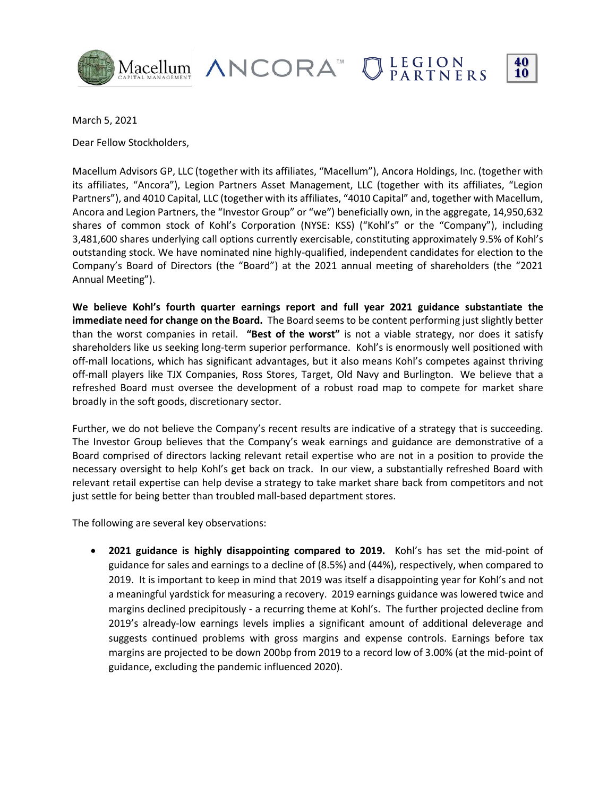

Macellum ANCORA<sup>M</sup> OLEGION



March 5, 2021

Dear Fellow Stockholders,

Macellum Advisors GP, LLC (together with its affiliates, "Macellum"), Ancora Holdings, Inc. (together with its affiliates, "Ancora"), Legion Partners Asset Management, LLC (together with its affiliates, "Legion Partners"), and 4010 Capital, LLC (together with its affiliates, "4010 Capital" and, together with Macellum, Ancora and Legion Partners, the "Investor Group" or "we") beneficially own, in the aggregate, 14,950,632 shares of common stock of Kohl's Corporation (NYSE: KSS) ("Kohl's" or the "Company"), including 3,481,600 shares underlying call options currently exercisable, constituting approximately 9.5% of Kohl's outstanding stock. We have nominated nine highly-qualified, independent candidates for election to the Company's Board of Directors (the "Board") at the 2021 annual meeting of shareholders (the "2021 Annual Meeting").

**We believe Kohl's fourth quarter earnings report and full year 2021 guidance substantiate the immediate need for change on the Board.** The Board seems to be content performing just slightly better than the worst companies in retail. **"Best of the worst"** is not a viable strategy, nor does it satisfy shareholders like us seeking long-term superior performance. Kohl's is enormously well positioned with off-mall locations, which has significant advantages, but it also means Kohl's competes against thriving off-mall players like TJX Companies, Ross Stores, Target, Old Navy and Burlington. We believe that a refreshed Board must oversee the development of a robust road map to compete for market share broadly in the soft goods, discretionary sector.

Further, we do not believe the Company's recent results are indicative of a strategy that is succeeding. The Investor Group believes that the Company's weak earnings and guidance are demonstrative of a Board comprised of directors lacking relevant retail expertise who are not in a position to provide the necessary oversight to help Kohl's get back on track. In our view, a substantially refreshed Board with relevant retail expertise can help devise a strategy to take market share back from competitors and not just settle for being better than troubled mall-based department stores.

The following are several key observations:

• **2021 guidance is highly disappointing compared to 2019.** Kohl's has set the mid-point of guidance for sales and earnings to a decline of (8.5%) and (44%), respectively, when compared to 2019. It is important to keep in mind that 2019 was itself a disappointing year for Kohl's and not a meaningful yardstick for measuring a recovery. 2019 earnings guidance was lowered twice and margins declined precipitously - a recurring theme at Kohl's. The further projected decline from 2019's already-low earnings levels implies a significant amount of additional deleverage and suggests continued problems with gross margins and expense controls. Earnings before tax margins are projected to be down 200bp from 2019 to a record low of 3.00% (at the mid-point of guidance, excluding the pandemic influenced 2020).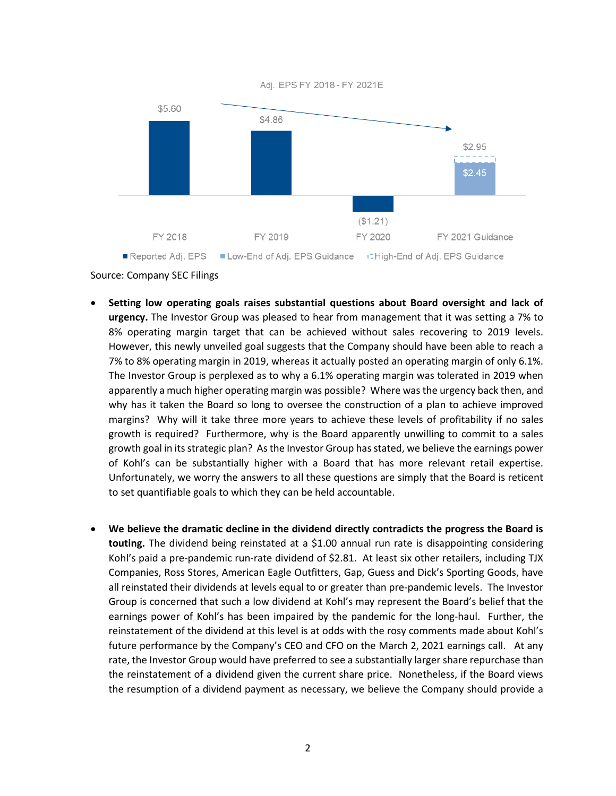Adj. EPS FY 2018 - FY 2021E



Reported Adj. EPS ■ Low-End of Adj. EPS Guidance GHigh-End of Adj. EPS Guidance

Source: Company SEC Filings

- **Setting low operating goals raises substantial questions about Board oversight and lack of urgency.** The Investor Group was pleased to hear from management that it was setting a 7% to 8% operating margin target that can be achieved without sales recovering to 2019 levels. However, this newly unveiled goal suggests that the Company should have been able to reach a 7% to 8% operating margin in 2019, whereas it actually posted an operating margin of only 6.1%. The Investor Group is perplexed as to why a 6.1% operating margin was tolerated in 2019 when apparently a much higher operating margin was possible? Where was the urgency back then, and why has it taken the Board so long to oversee the construction of a plan to achieve improved margins? Why will it take three more years to achieve these levels of profitability if no sales growth is required? Furthermore, why is the Board apparently unwilling to commit to a sales growth goal in its strategic plan? As the Investor Group has stated, we believe the earnings power of Kohl's can be substantially higher with a Board that has more relevant retail expertise. Unfortunately, we worry the answers to all these questions are simply that the Board is reticent to set quantifiable goals to which they can be held accountable.
- **We believe the dramatic decline in the dividend directly contradicts the progress the Board is touting.** The dividend being reinstated at a \$1.00 annual run rate is disappointing considering Kohl's paid a pre-pandemic run-rate dividend of \$2.81. At least six other retailers, including TJX Companies, Ross Stores, American Eagle Outfitters, Gap, Guess and Dick's Sporting Goods, have all reinstated their dividends at levels equal to or greater than pre-pandemic levels. The Investor Group is concerned that such a low dividend at Kohl's may represent the Board's belief that the earnings power of Kohl's has been impaired by the pandemic for the long-haul. Further, the reinstatement of the dividend at this level is at odds with the rosy comments made about Kohl's future performance by the Company's CEO and CFO on the March 2, 2021 earnings call. At any rate, the Investor Group would have preferred to see a substantially larger share repurchase than the reinstatement of a dividend given the current share price. Nonetheless, if the Board views the resumption of a dividend payment as necessary, we believe the Company should provide a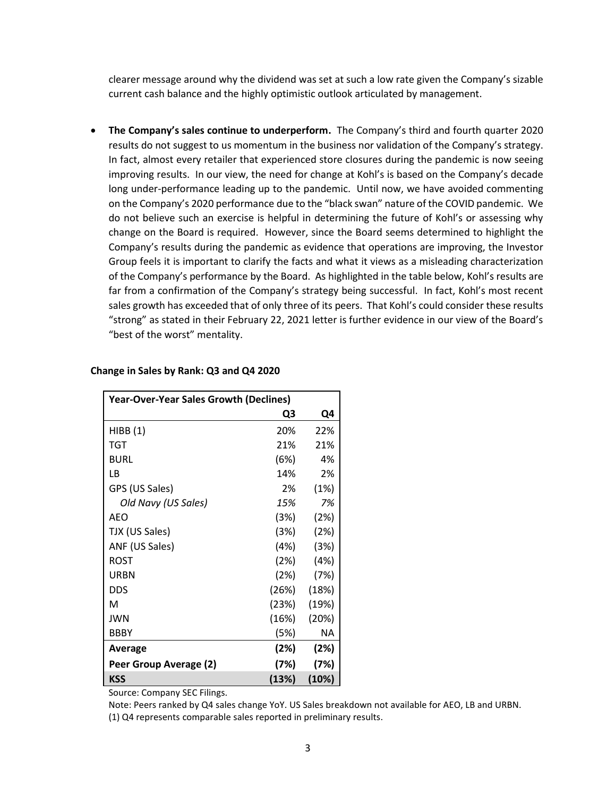clearer message around why the dividend was set at such a low rate given the Company's sizable current cash balance and the highly optimistic outlook articulated by management.

• **The Company's sales continue to underperform.** The Company's third and fourth quarter 2020 results do not suggest to us momentum in the business nor validation of the Company's strategy. In fact, almost every retailer that experienced store closures during the pandemic is now seeing improving results. In our view, the need for change at Kohl's is based on the Company's decade long under-performance leading up to the pandemic. Until now, we have avoided commenting on the Company's 2020 performance due to the "black swan" nature of the COVID pandemic. We do not believe such an exercise is helpful in determining the future of Kohl's or assessing why change on the Board is required. However, since the Board seems determined to highlight the Company's results during the pandemic as evidence that operations are improving, the Investor Group feels it is important to clarify the facts and what it views as a misleading characterization of the Company's performance by the Board. As highlighted in the table below, Kohl's results are far from a confirmation of the Company's strategy being successful. In fact, Kohl's most recent sales growth has exceeded that of only three of its peers. That Kohl's could consider these results "strong" as stated in their February 22, 2021 letter is further evidence in our view of the Board's "best of the worst" mentality.

| <b>Year-Over-Year Sales Growth (Declines)</b> |       |           |  |  |  |
|-----------------------------------------------|-------|-----------|--|--|--|
|                                               | Q3    | Q4        |  |  |  |
| HIBB(1)                                       | 20%   | 22%       |  |  |  |
| TGT                                           | 21%   | 21%       |  |  |  |
| <b>BURL</b>                                   | (6%)  | 4%        |  |  |  |
| LВ                                            | 14%   | 2%        |  |  |  |
| GPS (US Sales)                                | 2%    | (1%)      |  |  |  |
| Old Navy (US Sales)                           | 15%   | 7%        |  |  |  |
| AEO                                           | (3%)  | (2%)      |  |  |  |
| TJX (US Sales)                                | (3%)  | (2%)      |  |  |  |
| ANF (US Sales)                                | (4%)  | (3%)      |  |  |  |
| ROST                                          | (2%)  | (4%)      |  |  |  |
| URBN                                          | (2%)  | (7%)      |  |  |  |
| <b>DDS</b>                                    | (26%) | (18%)     |  |  |  |
| м                                             | (23%) | (19%)     |  |  |  |
| <b>JWN</b>                                    | (16%) | (20%)     |  |  |  |
| <b>BBBY</b>                                   | (5%)  | <b>NA</b> |  |  |  |
| Average                                       | (2%)  | (2%)      |  |  |  |
| Peer Group Average (2)                        | (7%)  | (7%)      |  |  |  |
| <b>KSS</b>                                    | (13%) | (10%)     |  |  |  |

#### **Change in Sales by Rank: Q3 and Q4 2020**

Source: Company SEC Filings.

Note: Peers ranked by Q4 sales change YoY. US Sales breakdown not available for AEO, LB and URBN.

(1) Q4 represents comparable sales reported in preliminary results.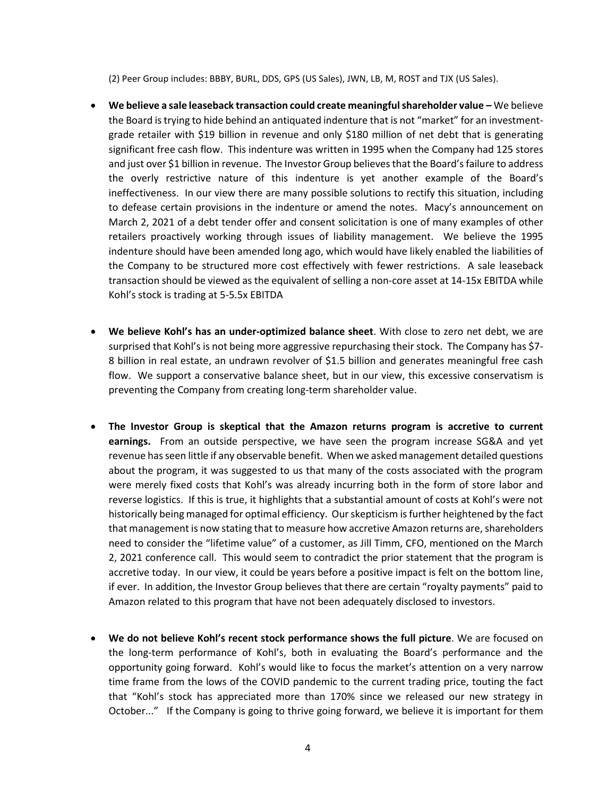(2) Peer Group includes: BBBY, BURL, DDS, GPS (US Sales), JWN, LB, M, ROST and TJX (US Sales).

- **We believe a sale leaseback transaction could create meaningful shareholder value –** We believe the Board is trying to hide behind an antiquated indenture that is not "market" for an investmentgrade retailer with \$19 billion in revenue and only \$180 million of net debt that is generating significant free cash flow. This indenture was written in 1995 when the Company had 125 stores and just over \$1 billion in revenue. The Investor Group believes that the Board's failure to address the overly restrictive nature of this indenture is yet another example of the Board's ineffectiveness. In our view there are many possible solutions to rectify this situation, including to defease certain provisions in the indenture or amend the notes. Macy's announcement on March 2, 2021 of a debt tender offer and consent solicitation is one of many examples of other retailers proactively working through issues of liability management. We believe the 1995 indenture should have been amended long ago, which would have likely enabled the liabilities of the Company to be structured more cost effectively with fewer restrictions. A sale leaseback transaction should be viewed as the equivalent of selling a non-core asset at 14-15x EBITDA while Kohl's stock is trading at 5-5.5x EBITDA
- **We believe Kohl's has an under-optimized balance sheet**. With close to zero net debt, we are surprised that Kohl's is not being more aggressive repurchasing their stock. The Company has \$7- 8 billion in real estate, an undrawn revolver of \$1.5 billion and generates meaningful free cash flow. We support a conservative balance sheet, but in our view, this excessive conservatism is preventing the Company from creating long-term shareholder value.
- **The Investor Group is skeptical that the Amazon returns program is accretive to current earnings.** From an outside perspective, we have seen the program increase SG&A and yet revenue has seen little if any observable benefit. When we asked management detailed questions about the program, it was suggested to us that many of the costs associated with the program were merely fixed costs that Kohl's was already incurring both in the form of store labor and reverse logistics. If this is true, it highlights that a substantial amount of costs at Kohl's were not historically being managed for optimal efficiency. Ourskepticism is further heightened by the fact that management is now stating that to measure how accretive Amazon returns are, shareholders need to consider the "lifetime value" of a customer, as Jill Timm, CFO, mentioned on the March 2, 2021 conference call. This would seem to contradict the prior statement that the program is accretive today. In our view, it could be years before a positive impact is felt on the bottom line, if ever. In addition, the Investor Group believes that there are certain "royalty payments" paid to Amazon related to this program that have not been adequately disclosed to investors.
- **We do not believe Kohl's recent stock performance shows the full picture**. We are focused on the long-term performance of Kohl's, both in evaluating the Board's performance and the opportunity going forward. Kohl's would like to focus the market's attention on a very narrow time frame from the lows of the COVID pandemic to the current trading price, touting the fact that "Kohl's stock has appreciated more than 170% since we released our new strategy in October..." If the Company is going to thrive going forward, we believe it is important for them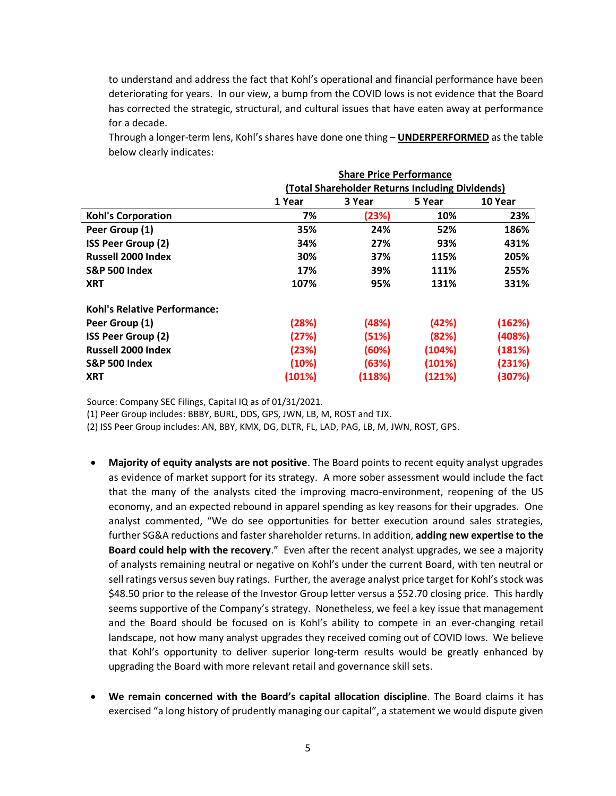to understand and address the fact that Kohl's operational and financial performance have been deteriorating for years. In our view, a bump from the COVID lows is not evidence that the Board has corrected the strategic, structural, and cultural issues that have eaten away at performance for a decade.

Through a longer-term lens, Kohl's shares have done one thing – **UNDERPERFORMED** as the table below clearly indicates:

|                                     | <b>Share Price Performance</b><br>(Total Shareholder Returns Including Dividends) |        |        |         |
|-------------------------------------|-----------------------------------------------------------------------------------|--------|--------|---------|
|                                     |                                                                                   |        |        |         |
|                                     | 1 Year                                                                            | 3 Year | 5 Year | 10 Year |
| <b>Kohl's Corporation</b>           | 7%                                                                                | (23%)  | 10%    | 23%     |
| Peer Group (1)                      | 35%                                                                               | 24%    | 52%    | 186%    |
| <b>ISS Peer Group (2)</b>           | 34%                                                                               | 27%    | 93%    | 431%    |
| <b>Russell 2000 Index</b>           | 30%                                                                               | 37%    | 115%   | 205%    |
| <b>S&amp;P 500 Index</b>            | 17%                                                                               | 39%    | 111%   | 255%    |
| <b>XRT</b>                          | 107%                                                                              | 95%    | 131%   | 331%    |
| <b>Kohl's Relative Performance:</b> |                                                                                   |        |        |         |
| Peer Group (1)                      | (28%)                                                                             | (48%)  | (42%)  | (162%)  |
| <b>ISS Peer Group (2)</b>           | (27%)                                                                             | (51%)  | (82%)  | (408%)  |
| <b>Russell 2000 Index</b>           | (23%)                                                                             | (60%)  | (104%) | (181%)  |
| <b>S&amp;P 500 Index</b>            | (10%)                                                                             | (63%)  | (101%) | (231%)  |
| <b>XRT</b>                          | (101%)                                                                            | (118%) | (121%) | (307%)  |

Source: Company SEC Filings, Capital IQ as of 01/31/2021.

(1) Peer Group includes: BBBY, BURL, DDS, GPS, JWN, LB, M, ROST and TJX.

(2) ISS Peer Group includes: AN, BBY, KMX, DG, DLTR, FL, LAD, PAG, LB, M, JWN, ROST, GPS.

- **Majority of equity analysts are not positive**. The Board points to recent equity analyst upgrades as evidence of market support for its strategy. A more sober assessment would include the fact that the many of the analysts cited the improving macro-environment, reopening of the US economy, and an expected rebound in apparel spending as key reasons for their upgrades. One analyst commented, "We do see opportunities for better execution around sales strategies, further SG&A reductions and faster shareholder returns. In addition, **adding new expertise to the Board could help with the recovery**." Even after the recent analyst upgrades, we see a majority of analysts remaining neutral or negative on Kohl's under the current Board, with ten neutral or sell ratings versus seven buy ratings. Further, the average analyst price target for Kohl's stock was \$48.50 prior to the release of the Investor Group letter versus a \$52.70 closing price. This hardly seems supportive of the Company's strategy. Nonetheless, we feel a key issue that management and the Board should be focused on is Kohl's ability to compete in an ever-changing retail landscape, not how many analyst upgrades they received coming out of COVID lows. We believe that Kohl's opportunity to deliver superior long-term results would be greatly enhanced by upgrading the Board with more relevant retail and governance skill sets.
- **We remain concerned with the Board's capital allocation discipline**. The Board claims it has exercised "a long history of prudently managing our capital", a statement we would dispute given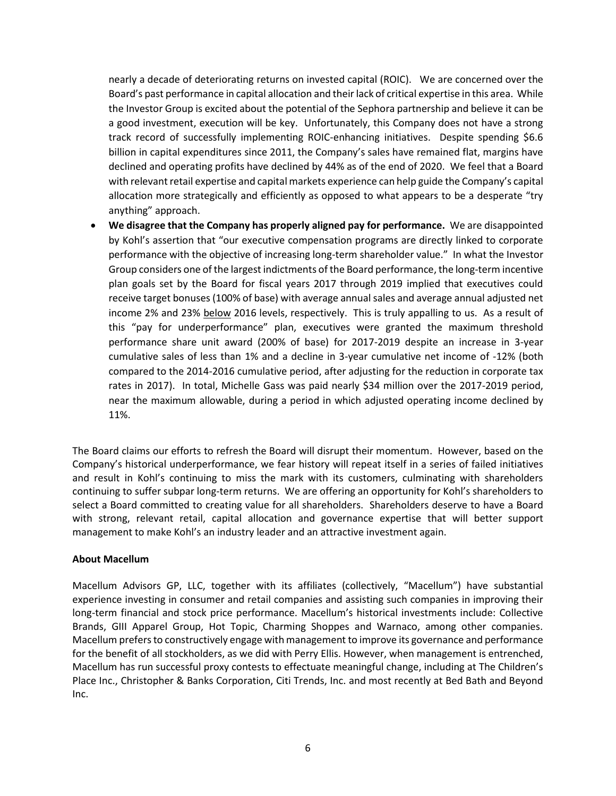nearly a decade of deteriorating returns on invested capital (ROIC). We are concerned over the Board's past performance in capital allocation and their lack of critical expertise in this area. While the Investor Group is excited about the potential of the Sephora partnership and believe it can be a good investment, execution will be key. Unfortunately, this Company does not have a strong track record of successfully implementing ROIC-enhancing initiatives. Despite spending \$6.6 billion in capital expenditures since 2011, the Company's sales have remained flat, margins have declined and operating profits have declined by 44% as of the end of 2020. We feel that a Board with relevant retail expertise and capital markets experience can help guide the Company's capital allocation more strategically and efficiently as opposed to what appears to be a desperate "try anything" approach.

• **We disagree that the Company has properly aligned pay for performance.** We are disappointed by Kohl's assertion that "our executive compensation programs are directly linked to corporate performance with the objective of increasing long-term shareholder value." In what the Investor Group considers one of the largest indictments of the Board performance, the long-term incentive plan goals set by the Board for fiscal years 2017 through 2019 implied that executives could receive target bonuses (100% of base) with average annual sales and average annual adjusted net income 2% and 23% below 2016 levels, respectively. This is truly appalling to us. As a result of this "pay for underperformance" plan, executives were granted the maximum threshold performance share unit award (200% of base) for 2017-2019 despite an increase in 3-year cumulative sales of less than 1% and a decline in 3-year cumulative net income of -12% (both compared to the 2014-2016 cumulative period, after adjusting for the reduction in corporate tax rates in 2017). In total, Michelle Gass was paid nearly \$34 million over the 2017-2019 period, near the maximum allowable, during a period in which adjusted operating income declined by 11%.

The Board claims our efforts to refresh the Board will disrupt their momentum. However, based on the Company's historical underperformance, we fear history will repeat itself in a series of failed initiatives and result in Kohl's continuing to miss the mark with its customers, culminating with shareholders continuing to suffer subpar long-term returns. We are offering an opportunity for Kohl's shareholders to select a Board committed to creating value for all shareholders. Shareholders deserve to have a Board with strong, relevant retail, capital allocation and governance expertise that will better support management to make Kohl's an industry leader and an attractive investment again.

# **About Macellum**

Macellum Advisors GP, LLC, together with its affiliates (collectively, "Macellum") have substantial experience investing in consumer and retail companies and assisting such companies in improving their long-term financial and stock price performance. Macellum's historical investments include: Collective Brands, GIII Apparel Group, Hot Topic, Charming Shoppes and Warnaco, among other companies. Macellum prefers to constructively engage with management to improve its governance and performance for the benefit of all stockholders, as we did with Perry Ellis. However, when management is entrenched, Macellum has run successful proxy contests to effectuate meaningful change, including at The Children's Place Inc., Christopher & Banks Corporation, Citi Trends, Inc. and most recently at Bed Bath and Beyond Inc.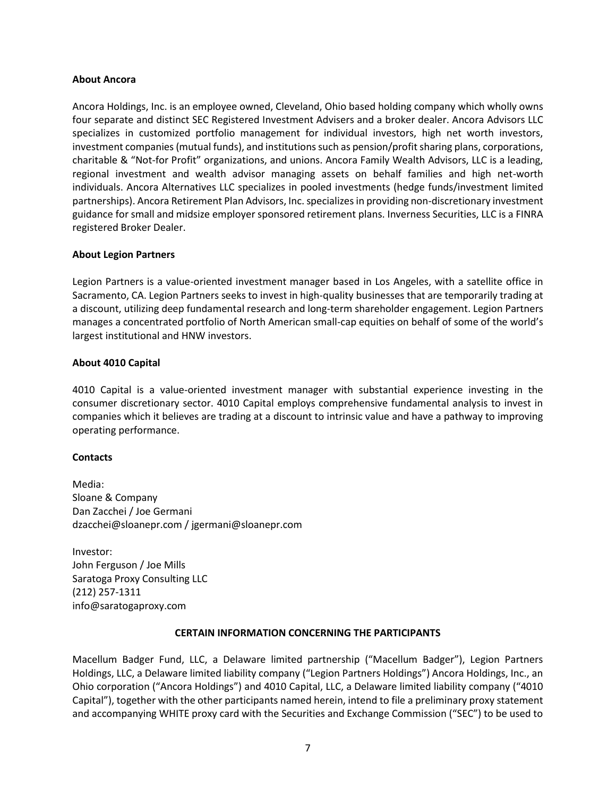### **About Ancora**

Ancora Holdings, Inc. is an employee owned, Cleveland, Ohio based holding company which wholly owns four separate and distinct SEC Registered Investment Advisers and a broker dealer. Ancora Advisors LLC specializes in customized portfolio management for individual investors, high net worth investors, investment companies (mutual funds), and institutions such as pension/profit sharing plans, corporations, charitable & "Not-for Profit" organizations, and unions. Ancora Family Wealth Advisors, LLC is a leading, regional investment and wealth advisor managing assets on behalf families and high net-worth individuals. Ancora Alternatives LLC specializes in pooled investments (hedge funds/investment limited partnerships). Ancora Retirement Plan Advisors, Inc. specializes in providing non-discretionary investment guidance for small and midsize employer sponsored retirement plans. Inverness Securities, LLC is a FINRA registered Broker Dealer.

### **About Legion Partners**

Legion Partners is a value-oriented investment manager based in Los Angeles, with a satellite office in Sacramento, CA. Legion Partners seeks to invest in high-quality businesses that are temporarily trading at a discount, utilizing deep fundamental research and long-term shareholder engagement. Legion Partners manages a concentrated portfolio of North American small-cap equities on behalf of some of the world's largest institutional and HNW investors.

### **About 4010 Capital**

4010 Capital is a value-oriented investment manager with substantial experience investing in the consumer discretionary sector. 4010 Capital employs comprehensive fundamental analysis to invest in companies which it believes are trading at a discount to intrinsic value and have a pathway to improving operating performance.

# **Contacts**

Media: Sloane & Company Dan Zacchei / Joe Germani dzacchei@sloanepr.com / jgermani@sloanepr.com

Investor: John Ferguson / Joe Mills Saratoga Proxy Consulting LLC (212) 257-1311 info@saratogaproxy.com

# **CERTAIN INFORMATION CONCERNING THE PARTICIPANTS**

Macellum Badger Fund, LLC, a Delaware limited partnership ("Macellum Badger"), Legion Partners Holdings, LLC, a Delaware limited liability company ("Legion Partners Holdings") Ancora Holdings, Inc., an Ohio corporation ("Ancora Holdings") and 4010 Capital, LLC, a Delaware limited liability company ("4010 Capital"), together with the other participants named herein, intend to file a preliminary proxy statement and accompanying WHITE proxy card with the Securities and Exchange Commission ("SEC") to be used to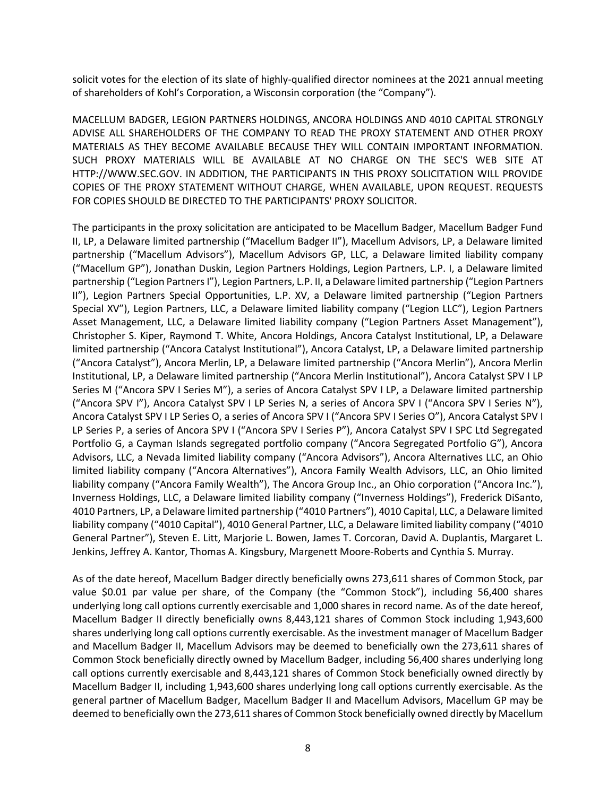solicit votes for the election of its slate of highly-qualified director nominees at the 2021 annual meeting of shareholders of Kohl's Corporation, a Wisconsin corporation (the "Company").

MACELLUM BADGER, LEGION PARTNERS HOLDINGS, ANCORA HOLDINGS AND 4010 CAPITAL STRONGLY ADVISE ALL SHAREHOLDERS OF THE COMPANY TO READ THE PROXY STATEMENT AND OTHER PROXY MATERIALS AS THEY BECOME AVAILABLE BECAUSE THEY WILL CONTAIN IMPORTANT INFORMATION. SUCH PROXY MATERIALS WILL BE AVAILABLE AT NO CHARGE ON THE SEC'S WEB SITE AT HTTP://WWW.SEC.GOV. IN ADDITION, THE PARTICIPANTS IN THIS PROXY SOLICITATION WILL PROVIDE COPIES OF THE PROXY STATEMENT WITHOUT CHARGE, WHEN AVAILABLE, UPON REQUEST. REQUESTS FOR COPIES SHOULD BE DIRECTED TO THE PARTICIPANTS' PROXY SOLICITOR.

The participants in the proxy solicitation are anticipated to be Macellum Badger, Macellum Badger Fund II, LP, a Delaware limited partnership ("Macellum Badger II"), Macellum Advisors, LP, a Delaware limited partnership ("Macellum Advisors"), Macellum Advisors GP, LLC, a Delaware limited liability company ("Macellum GP"), Jonathan Duskin, Legion Partners Holdings, Legion Partners, L.P. I, a Delaware limited partnership ("Legion Partners I"), Legion Partners, L.P. II, a Delaware limited partnership ("Legion Partners II"), Legion Partners Special Opportunities, L.P. XV, a Delaware limited partnership ("Legion Partners Special XV"), Legion Partners, LLC, a Delaware limited liability company ("Legion LLC"), Legion Partners Asset Management, LLC, a Delaware limited liability company ("Legion Partners Asset Management"), Christopher S. Kiper, Raymond T. White, Ancora Holdings, Ancora Catalyst Institutional, LP, a Delaware limited partnership ("Ancora Catalyst Institutional"), Ancora Catalyst, LP, a Delaware limited partnership ("Ancora Catalyst"), Ancora Merlin, LP, a Delaware limited partnership ("Ancora Merlin"), Ancora Merlin Institutional, LP, a Delaware limited partnership ("Ancora Merlin Institutional"), Ancora Catalyst SPV I LP Series M ("Ancora SPV I Series M"), a series of Ancora Catalyst SPV I LP, a Delaware limited partnership ("Ancora SPV I"), Ancora Catalyst SPV I LP Series N, a series of Ancora SPV I ("Ancora SPV I Series N"), Ancora Catalyst SPV I LP Series O, a series of Ancora SPV I ("Ancora SPV I Series O"), Ancora Catalyst SPV I LP Series P, a series of Ancora SPV I ("Ancora SPV I Series P"), Ancora Catalyst SPV I SPC Ltd Segregated Portfolio G, a Cayman Islands segregated portfolio company ("Ancora Segregated Portfolio G"), Ancora Advisors, LLC, a Nevada limited liability company ("Ancora Advisors"), Ancora Alternatives LLC, an Ohio limited liability company ("Ancora Alternatives"), Ancora Family Wealth Advisors, LLC, an Ohio limited liability company ("Ancora Family Wealth"), The Ancora Group Inc., an Ohio corporation ("Ancora Inc."), Inverness Holdings, LLC, a Delaware limited liability company ("Inverness Holdings"), Frederick DiSanto, 4010 Partners, LP, a Delaware limited partnership ("4010 Partners"), 4010 Capital, LLC, a Delaware limited liability company ("4010 Capital"), 4010 General Partner, LLC, a Delaware limited liability company ("4010 General Partner"), Steven E. Litt, Marjorie L. Bowen, James T. Corcoran, David A. Duplantis, Margaret L. Jenkins, Jeffrey A. Kantor, Thomas A. Kingsbury, Margenett Moore-Roberts and Cynthia S. Murray.

As of the date hereof, Macellum Badger directly beneficially owns 273,611 shares of Common Stock, par value \$0.01 par value per share, of the Company (the "Common Stock"), including 56,400 shares underlying long call options currently exercisable and 1,000 shares in record name. As of the date hereof, Macellum Badger II directly beneficially owns 8,443,121 shares of Common Stock including 1,943,600 shares underlying long call options currently exercisable. As the investment manager of Macellum Badger and Macellum Badger II, Macellum Advisors may be deemed to beneficially own the 273,611 shares of Common Stock beneficially directly owned by Macellum Badger, including 56,400 shares underlying long call options currently exercisable and 8,443,121 shares of Common Stock beneficially owned directly by Macellum Badger II, including 1,943,600 shares underlying long call options currently exercisable. As the general partner of Macellum Badger, Macellum Badger II and Macellum Advisors, Macellum GP may be deemed to beneficially own the 273,611 shares of Common Stock beneficially owned directly by Macellum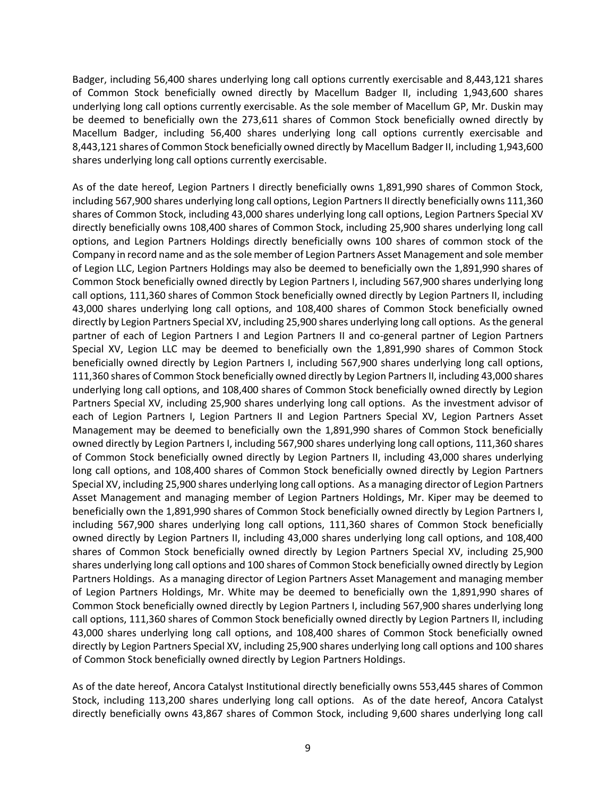Badger, including 56,400 shares underlying long call options currently exercisable and 8,443,121 shares of Common Stock beneficially owned directly by Macellum Badger II, including 1,943,600 shares underlying long call options currently exercisable. As the sole member of Macellum GP, Mr. Duskin may be deemed to beneficially own the 273,611 shares of Common Stock beneficially owned directly by Macellum Badger, including 56,400 shares underlying long call options currently exercisable and 8,443,121 shares of Common Stock beneficially owned directly by Macellum Badger II, including 1,943,600 shares underlying long call options currently exercisable.

As of the date hereof, Legion Partners I directly beneficially owns 1,891,990 shares of Common Stock, including 567,900 shares underlying long call options, Legion Partners II directly beneficially owns 111,360 shares of Common Stock, including 43,000 shares underlying long call options, Legion Partners Special XV directly beneficially owns 108,400 shares of Common Stock, including 25,900 shares underlying long call options, and Legion Partners Holdings directly beneficially owns 100 shares of common stock of the Company in record name and as the sole member of Legion Partners Asset Management and sole member of Legion LLC, Legion Partners Holdings may also be deemed to beneficially own the 1,891,990 shares of Common Stock beneficially owned directly by Legion Partners I, including 567,900 shares underlying long call options, 111,360 shares of Common Stock beneficially owned directly by Legion Partners II, including 43,000 shares underlying long call options, and 108,400 shares of Common Stock beneficially owned directly by Legion Partners Special XV, including 25,900 shares underlying long call options. As the general partner of each of Legion Partners I and Legion Partners II and co-general partner of Legion Partners Special XV, Legion LLC may be deemed to beneficially own the 1,891,990 shares of Common Stock beneficially owned directly by Legion Partners I, including 567,900 shares underlying long call options, 111,360 shares of Common Stock beneficially owned directly by Legion Partners II, including 43,000 shares underlying long call options, and 108,400 shares of Common Stock beneficially owned directly by Legion Partners Special XV, including 25,900 shares underlying long call options. As the investment advisor of each of Legion Partners I, Legion Partners II and Legion Partners Special XV, Legion Partners Asset Management may be deemed to beneficially own the 1,891,990 shares of Common Stock beneficially owned directly by Legion Partners I, including 567,900 shares underlying long call options, 111,360 shares of Common Stock beneficially owned directly by Legion Partners II, including 43,000 shares underlying long call options, and 108,400 shares of Common Stock beneficially owned directly by Legion Partners Special XV, including 25,900 shares underlying long call options. As a managing director of Legion Partners Asset Management and managing member of Legion Partners Holdings, Mr. Kiper may be deemed to beneficially own the 1,891,990 shares of Common Stock beneficially owned directly by Legion Partners I, including 567,900 shares underlying long call options, 111,360 shares of Common Stock beneficially owned directly by Legion Partners II, including 43,000 shares underlying long call options, and 108,400 shares of Common Stock beneficially owned directly by Legion Partners Special XV, including 25,900 shares underlying long call options and 100 shares of Common Stock beneficially owned directly by Legion Partners Holdings. As a managing director of Legion Partners Asset Management and managing member of Legion Partners Holdings, Mr. White may be deemed to beneficially own the 1,891,990 shares of Common Stock beneficially owned directly by Legion Partners I, including 567,900 shares underlying long call options, 111,360 shares of Common Stock beneficially owned directly by Legion Partners II, including 43,000 shares underlying long call options, and 108,400 shares of Common Stock beneficially owned directly by Legion Partners Special XV, including 25,900 shares underlying long call options and 100 shares of Common Stock beneficially owned directly by Legion Partners Holdings.

As of the date hereof, Ancora Catalyst Institutional directly beneficially owns 553,445 shares of Common Stock, including 113,200 shares underlying long call options. As of the date hereof, Ancora Catalyst directly beneficially owns 43,867 shares of Common Stock, including 9,600 shares underlying long call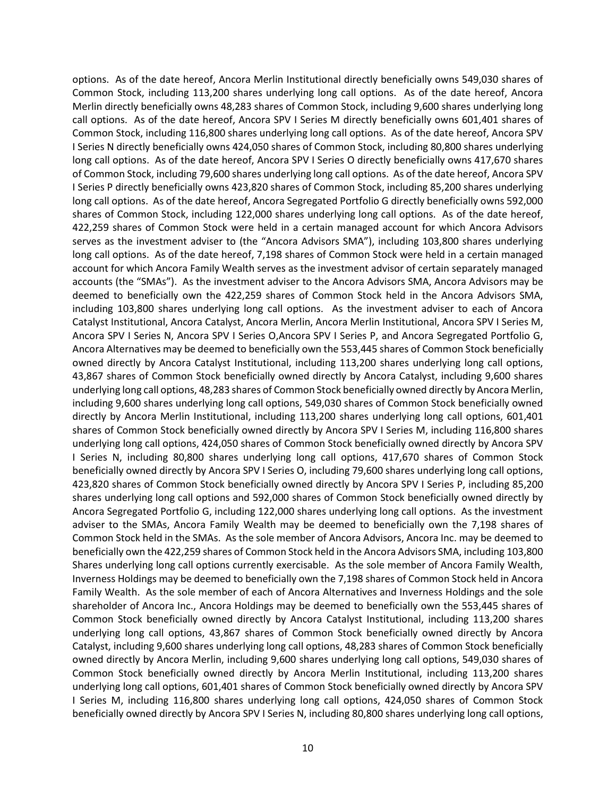options. As of the date hereof, Ancora Merlin Institutional directly beneficially owns 549,030 shares of Common Stock, including 113,200 shares underlying long call options. As of the date hereof, Ancora Merlin directly beneficially owns 48,283 shares of Common Stock, including 9,600 shares underlying long call options. As of the date hereof, Ancora SPV I Series M directly beneficially owns 601,401 shares of Common Stock, including 116,800 shares underlying long call options. As of the date hereof, Ancora SPV I Series N directly beneficially owns 424,050 shares of Common Stock, including 80,800 shares underlying long call options. As of the date hereof, Ancora SPV I Series O directly beneficially owns 417,670 shares of Common Stock, including 79,600 shares underlying long call options. As of the date hereof, Ancora SPV I Series P directly beneficially owns 423,820 shares of Common Stock, including 85,200 shares underlying long call options. As of the date hereof, Ancora Segregated Portfolio G directly beneficially owns 592,000 shares of Common Stock, including 122,000 shares underlying long call options. As of the date hereof, 422,259 shares of Common Stock were held in a certain managed account for which Ancora Advisors serves as the investment adviser to (the "Ancora Advisors SMA"), including 103,800 shares underlying long call options. As of the date hereof, 7,198 shares of Common Stock were held in a certain managed account for which Ancora Family Wealth serves as the investment advisor of certain separately managed accounts (the "SMAs"). As the investment adviser to the Ancora Advisors SMA, Ancora Advisors may be deemed to beneficially own the 422,259 shares of Common Stock held in the Ancora Advisors SMA, including 103,800 shares underlying long call options. As the investment adviser to each of Ancora Catalyst Institutional, Ancora Catalyst, Ancora Merlin, Ancora Merlin Institutional, Ancora SPV I Series M, Ancora SPV I Series N, Ancora SPV I Series O,Ancora SPV I Series P, and Ancora Segregated Portfolio G, Ancora Alternatives may be deemed to beneficially own the 553,445 shares of Common Stock beneficially owned directly by Ancora Catalyst Institutional, including 113,200 shares underlying long call options, 43,867 shares of Common Stock beneficially owned directly by Ancora Catalyst, including 9,600 shares underlying long call options, 48,283 shares of Common Stock beneficially owned directly by Ancora Merlin, including 9,600 shares underlying long call options, 549,030 shares of Common Stock beneficially owned directly by Ancora Merlin Institutional, including 113,200 shares underlying long call options, 601,401 shares of Common Stock beneficially owned directly by Ancora SPV I Series M, including 116,800 shares underlying long call options, 424,050 shares of Common Stock beneficially owned directly by Ancora SPV I Series N, including 80,800 shares underlying long call options, 417,670 shares of Common Stock beneficially owned directly by Ancora SPV I Series O, including 79,600 shares underlying long call options, 423,820 shares of Common Stock beneficially owned directly by Ancora SPV I Series P, including 85,200 shares underlying long call options and 592,000 shares of Common Stock beneficially owned directly by Ancora Segregated Portfolio G, including 122,000 shares underlying long call options. As the investment adviser to the SMAs, Ancora Family Wealth may be deemed to beneficially own the 7,198 shares of Common Stock held in the SMAs. As the sole member of Ancora Advisors, Ancora Inc. may be deemed to beneficially own the 422,259 shares of Common Stock held in the Ancora Advisors SMA, including 103,800 Shares underlying long call options currently exercisable. As the sole member of Ancora Family Wealth, Inverness Holdings may be deemed to beneficially own the 7,198 shares of Common Stock held in Ancora Family Wealth. As the sole member of each of Ancora Alternatives and Inverness Holdings and the sole shareholder of Ancora Inc., Ancora Holdings may be deemed to beneficially own the 553,445 shares of Common Stock beneficially owned directly by Ancora Catalyst Institutional, including 113,200 shares underlying long call options, 43,867 shares of Common Stock beneficially owned directly by Ancora Catalyst, including 9,600 shares underlying long call options, 48,283 shares of Common Stock beneficially owned directly by Ancora Merlin, including 9,600 shares underlying long call options, 549,030 shares of Common Stock beneficially owned directly by Ancora Merlin Institutional, including 113,200 shares underlying long call options, 601,401 shares of Common Stock beneficially owned directly by Ancora SPV I Series M, including 116,800 shares underlying long call options, 424,050 shares of Common Stock beneficially owned directly by Ancora SPV I Series N, including 80,800 shares underlying long call options,